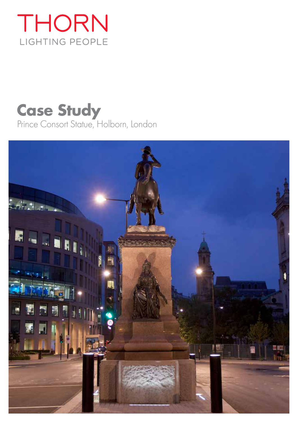## THORN LIGHTING PEOPLE

# **Case Study**

Prince Consort Statue, Holborn, London

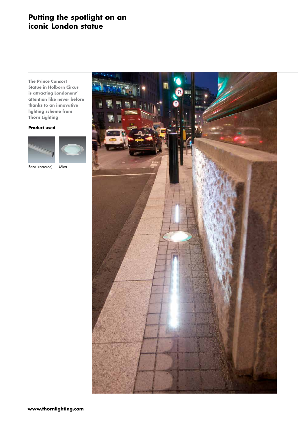### **Putting the spotlight on an iconic London statue**

**The Prince Consort Statue in Holborn Circus is attracting Londoners' attention like never before thanks to an innovative lighting scheme from Thorn Lighting** 

#### **Product used**



Band (recessed) Mica

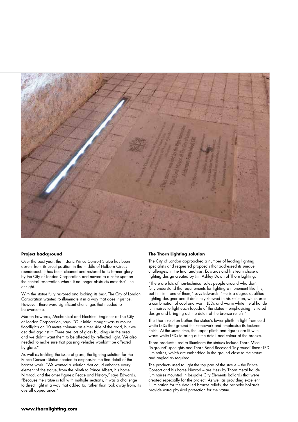

#### **Project background**

Over the past year, the historic Prince Consort Statue has been absent from its usual position in the middle of Holborn Circus roundabout. It has been cleaned and restored to its former glory by the City of London Corporation and moved to a safer spot on the central reservation where it no longer obstructs motorists' line of sight.

With the statue fully restored and looking its best, The City of London Corporation wanted to illuminate it in a way that does it justice. However, there were significant challenges that needed to be overcome.

Marlon Edwards, Mechanical and Electrical Engineer at The City of London Corporation, says, "Our initial thought was to mount floodlights on 10 metre columns on either side of the road, but we decided against it. There are lots of glass buildings in the area and we didn't want them to be affected by reflected light. We also needed to make sure that passing vehicles wouldn't be affected by glare."

As well as tackling the issue of glare, the lighting solution for the Prince Consort Statue needed to emphasise the fine detail of the bronze work. "We wanted a solution that could enhance every element of the statue, from the plinth to Prince Albert, his horse Nimrod, and the other figures: Peace and History," says Edwards. "Because the statue is tall with multiple sections, it was a challenge to direct light in a way that added to, rather than took away from, its overall appearance."

#### **The Thorn Lighting solution**

The City of London approached a number of leading lighting specialists and requested proposals that addressed its unique challenges. In the final analysis, Edwards and his team chose a lighting design created by Jim Ashley Down of Thorn Lighting.

"There are lots of non-technical sales people around who don't fully understand the requirements for lighting a monument like this, but Jim isn't one of them," says Edwards. "He is a degree-qualified lighting designer and it definitely showed in his solution, which uses a combination of cool and warm LEDs and warm white metal halide luminaires to light each façade of the statue – emphasising its tiered design and bringing out the detail of the bronze reliefs."

The Thorn solution bathes the statue's lower plinth in light from cold white LEDs that ground the stonework and emphasise its textured finish. At the same time, the upper plinth and figures are lit with warm white LEDs to bring out the detail and colour of the bronze.

Thorn products used to illuminate the statues include Thorn Mica 'in-ground' spotlights and Thorn Band Recessed 'in-ground' linear LED luminaires, which are embedded in the ground close to the statue and angled as required.

The products used to light the top part of the statue – the Prince Consort and his horse Nimrod – are Hess by Thorn metal halide luminaires mounted in bespoke City Elements bollards that were created especially for the project. As well as providing excellent illumination for the detailed bronze reliefs, the bespoke bollards provide extra physical protection for the statue.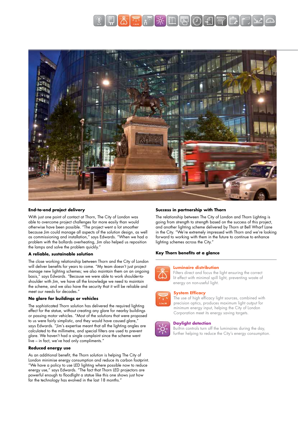



#### **End-to-end project delivery**

With just one point of contact at Thorn, The City of London was able to overcome project challenges far more easily than would otherwise have been possible. "The project went a lot smoother because Jim could manage all aspects of the solution design, as well as commissioning and installation," says Edwards. "When we had a problem with the bollards overheating, Jim also helped us reposition the lamps and solve the problem quickly."

#### **A reliable, sustainable solution**

The close working relationship between Thorn and the City of London will deliver benefits for years to come. "My team doesn't just project manage new lighting schemes; we also maintain them on an ongoing basis," says Edwards. "Because we were able to work shoulder-toshoulder with Jim, we have all the knowledge we need to maintain the scheme, and we also have the security that it will be reliable and meet our needs for decades."

#### **No glare for buildings or vehicles**

The sophisticated Thorn solution has delivered the required lighting effect for the statue, without creating any glare for nearby buildings or passing motor vehicles. "Most of the solutions that were proposed to us were fairly simplistic, and they would have caused glare," says Edwards. "Jim's expertise meant that all the lighting angles are calculated to the millimetre, and special filters are used to prevent glare. We haven't had a single complaint since the scheme went live – in fact, we've had only compliments."

#### **Reduced energy use**

As an additional benefit, the Thorn solution is helping The City of London minimise energy consumption and reduce its carbon footprint. "We have a policy to use LED lighting where possible now to reduce energy use," says Edwards. "The fact that Thorn LED projectors are powerful enough to floodlight a statue like this one shows just how far the technology has evolved in the last 18 months."

#### **Success in partnership with Thorn**

The relationship between The City of London and Thorn Lighting is going from strength to strength based on the success of this project, and another lighting scheme delivered by Thorn at Bell Wharf Lane in the City. "We're extremely impressed with Thorn and we're looking forward to working with them in the future to continue to enhance lighting schemes across the City."

#### **Key Thorn benefits at a glance**



#### **Luminaire distribution**

Filters direct and focus the light ensuring the correct lit effect with minimal spill light, preventing waste of energy on non-useful light.

#### **System Efficacy**



The use of high efficacy light sources, combined with precision optics, produces maximum light output for minimum energy input, helping the City of London Corporation meet its energy saving targets.

#### **Daylight detection**

Built-in controls turn off the luminaires during the day, further helping to reduce the City's energy consumption.